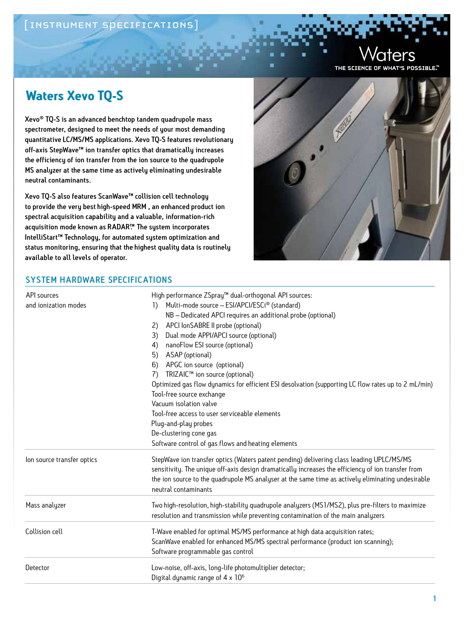### [INSTRUMENT SPECIFICATIONS]

THE SCIENCE OF WHAT'S POSSIBLE."

## **Waters Xevo TQ-S**

Xevo® TQ-S is an advanced benchtop tandem quadrupole mass spectrometer, designed to meet the needs of your most demanding quantitative LC/MS/MS applications. Xevo TQ-S features revolutionary off-axis StepWave™ ion transfer optics that dramatically increases the efficiency of ion transfer from the ion source to the quadrupole MS analyzer at the same time as actively eliminating undesirable neutral contaminants.

Xevo TQ-S also features ScanWave™ collision cell technology to provide the very best high-speed MRM , an enhanced product ion spectral acquisition capability and a valuable, information-rich acquisition mode known as RADAR™. The system incorporates IntelliStart™ Technology, for automated system optimization and status monitoring, ensuring that the highest quality data is routinely available to all levels of operator.



#### system hardware specifications

| API sources<br>and ionization modes | High performance ZSpray <sup>™</sup> dual-orthogonal API sources:                                                         |                                                    |                                                                                                    |
|-------------------------------------|---------------------------------------------------------------------------------------------------------------------------|----------------------------------------------------|----------------------------------------------------------------------------------------------------|
|                                     | Multi-mode source - ESI/APCI/ESCi® (standard)<br>$\left  \right\rangle$                                                   |                                                    |                                                                                                    |
|                                     | NB - Dedicated APCI requires an additional probe (optional)                                                               |                                                    |                                                                                                    |
|                                     | APCI IonSABRE II probe (optional)<br>2)                                                                                   |                                                    |                                                                                                    |
|                                     | Dual mode APPI/APCI source (optional)<br>3)                                                                               |                                                    |                                                                                                    |
|                                     | nanoFlow ESI source (optional)<br>4)                                                                                      |                                                    |                                                                                                    |
|                                     | ASAP (optional)<br>5)<br>6)                                                                                               |                                                    |                                                                                                    |
|                                     | APGC ion source (optional)<br>TRIZAIC™ ion source (optional)<br>7)                                                        |                                                    |                                                                                                    |
|                                     | Optimized gas flow dynamics for efficient ESI desolvation (supporting LC flow rates up to 2 mL/min)                       |                                                    |                                                                                                    |
|                                     | Tool-free source exchange                                                                                                 |                                                    |                                                                                                    |
|                                     | Vacuum isolation valve<br>Tool-free access to user serviceable elements<br>Plug-and-play probes<br>De-clustering cone gas |                                                    |                                                                                                    |
|                                     |                                                                                                                           | Software control of gas flows and heating elements |                                                                                                    |
|                                     |                                                                                                                           | lon source transfer optics                         | StepWave ion transfer optics (Waters patent pending) delivering class leading UPLC/MS/MS           |
|                                     |                                                                                                                           |                                                    | sensitivity. The unique off-axis design dramatically increases the efficiency of ion transfer from |
|                                     | the ion source to the quadrupole MS analyser at the same time as actively eliminating undesirable                         |                                                    |                                                                                                    |
| neutral contaminants                |                                                                                                                           |                                                    |                                                                                                    |
| Mass analyzer                       | Two high-resolution, high-stability quadrupole analyzers (MS1/MS2), plus pre-filters to maximize                          |                                                    |                                                                                                    |
|                                     | resolution and transmission while preventing contamination of the main analyzers                                          |                                                    |                                                                                                    |
| Collision cell                      | T-Wave enabled for optimal MS/MS performance at high data acquisition rates;                                              |                                                    |                                                                                                    |
|                                     | ScanWave enabled for enhanced MS/MS spectral performance (product ion scanning);                                          |                                                    |                                                                                                    |
|                                     | Software programmable gas control                                                                                         |                                                    |                                                                                                    |
| Detector                            | Low-noise, off-axis, long-life photomultiplier detector;                                                                  |                                                    |                                                                                                    |
|                                     | Digital dynamic range of 4 x 10 <sup>6</sup>                                                                              |                                                    |                                                                                                    |
|                                     |                                                                                                                           |                                                    |                                                                                                    |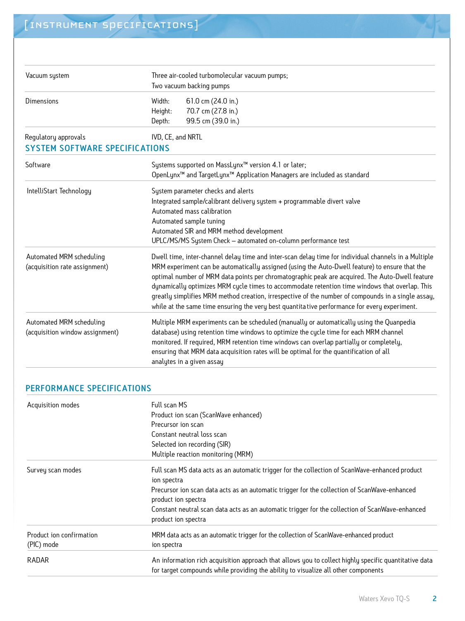| Vacuum system                                                 | Three air-cooled turbomolecular vacuum pumps;<br>Two vacuum backing pumps                                                                                                                                                                                                                                                                                                                                                                                                                                                                                                                                         |
|---------------------------------------------------------------|-------------------------------------------------------------------------------------------------------------------------------------------------------------------------------------------------------------------------------------------------------------------------------------------------------------------------------------------------------------------------------------------------------------------------------------------------------------------------------------------------------------------------------------------------------------------------------------------------------------------|
| <b>Dimensions</b>                                             | 61.0 cm (24.0 in.)<br>Width:<br>70.7 cm (27.8 in.)<br>Height:<br>99.5 cm (39.0 in.)<br>Depth:                                                                                                                                                                                                                                                                                                                                                                                                                                                                                                                     |
| Regulatory approvals<br><b>SYSTEM SOFTWARE SPECIFICATIONS</b> | IVD, CE, and NRTL                                                                                                                                                                                                                                                                                                                                                                                                                                                                                                                                                                                                 |
| Software                                                      | Systems supported on MassLynx™ version 4.1 or later;<br>OpenLynx <sup>™</sup> and TargetLynx <sup>™</sup> Application Managers are included as standard                                                                                                                                                                                                                                                                                                                                                                                                                                                           |
| IntelliStart Technology                                       | System parameter checks and alerts<br>Integrated sample/calibrant delivery system + programmable divert valve<br>Automated mass calibration<br>Automated sample tuning<br>Automated SIR and MRM method development<br>UPLC/MS/MS System Check - automated on-column performance test                                                                                                                                                                                                                                                                                                                              |
| Automated MRM scheduling<br>(acquisition rate assignment)     | Dwell time, inter-channel delay time and inter-scan delay time for individual channels in a Multiple<br>MRM experiment can be automatically assigned (using the Auto-Dwell feature) to ensure that the<br>optimal number of MRM data points per chromatographic peak are acquired. The Auto-Dwell feature<br>dynamically optimizes MRM cycle times to accommodate retention time windows that overlap. This<br>greatly simplifies MRM method creation, irrespective of the number of compounds in a single assay,<br>while at the same time ensuring the very best quantitative performance for every experiment. |
| Automated MRM scheduling<br>(acquisition window assignment)   | Multiple MRM experiments can be scheduled (manually or automatically using the Quanpedia<br>database) using retention time windows to optimize the cycle time for each MRM channel<br>monitored. If required, MRM retention time windows can overlap partially or completely,<br>ensuring that MRM data acquisition rates will be optimal for the quantification of all<br>analytes in a given assay                                                                                                                                                                                                              |

#### PERFORMANCE SPECIFICATIONS

| Acquisition modes                      | Full scan MS<br>Product ion scan (ScanWave enhanced)<br>Precursor ion scan<br>Constant neutral loss scan<br>Selected ion recording (SIR)<br>Multiple reaction monitoring (MRM)                                                                                                                                                                                 |
|----------------------------------------|----------------------------------------------------------------------------------------------------------------------------------------------------------------------------------------------------------------------------------------------------------------------------------------------------------------------------------------------------------------|
| Survey scan modes                      | Full scan MS data acts as an automatic trigger for the collection of ScanWave-enhanced product<br>ion spectra<br>Precursor ion scan data acts as an automatic trigger for the collection of ScanWave-enhanced<br>product ion spectra<br>Constant neutral scan data acts as an automatic trigger for the collection of ScanWave-enhanced<br>product ion spectra |
| Product ion confirmation<br>(PIC) mode | MRM data acts as an automatic trigger for the collection of ScanWave-enhanced product<br>ion spectra                                                                                                                                                                                                                                                           |
| RADAR                                  | An information rich acquisition approach that allows you to collect highly specific quantitative data<br>for target compounds while providing the ability to visualize all other components                                                                                                                                                                    |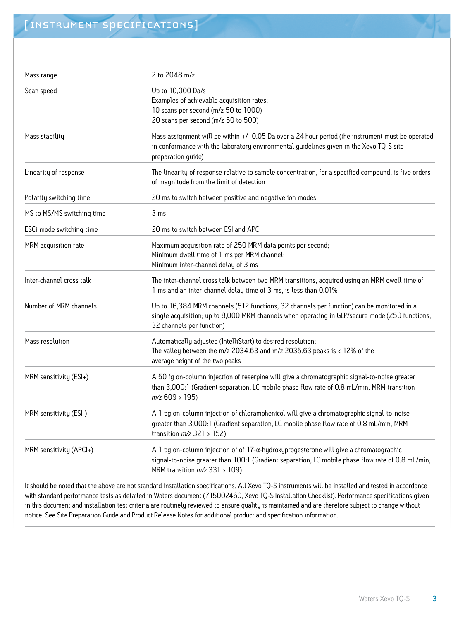| 2 to 2048 m/z                                                                                                                                                                                                                            |
|------------------------------------------------------------------------------------------------------------------------------------------------------------------------------------------------------------------------------------------|
| Up to 10,000 Da/s<br>Examples of achievable acquisition rates:<br>10 scans per second (m/z 50 to 1000)<br>20 scans per second (m/z 50 to 500)                                                                                            |
| Mass assignment will be within +/- 0.05 Da over a 24 hour period (the instrument must be operated<br>in conformance with the laboratory environmental guidelines given in the Xevo TQ-S site<br>preparation guide)                       |
| The linearity of response relative to sample concentration, for a specified compound, is five orders<br>of magnitude from the limit of detection                                                                                         |
| 20 ms to switch between positive and negative ion modes                                                                                                                                                                                  |
| 3 ms                                                                                                                                                                                                                                     |
| 20 ms to switch between ESI and APCI                                                                                                                                                                                                     |
| Maximum acquisition rate of 250 MRM data points per second;<br>Minimum dwell time of 1 ms per MRM channel;<br>Minimum inter-channel delay of 3 ms                                                                                        |
| The inter-channel cross talk between two MRM transitions, acquired using an MRM dwell time of<br>1 ms and an inter-channel delay time of 3 ms, is less than 0.01%                                                                        |
| Up to 16,384 MRM channels (512 functions, 32 channels per function) can be monitored in a<br>single acquisition; up to 8,000 MRM channels when operating in GLP/secure mode (250 functions,<br>32 channels per function)                 |
| Automatically adjusted (IntelliStart) to desired resolution;<br>The valley between the $m/z$ 2034.63 and $m/z$ 2035.63 peaks is $\langle$ 12% of the<br>average height of the two peaks                                                  |
| A 50 fg on-column injection of reserpine will give a chromatographic signal-to-noise greater<br>than 3,000:1 (Gradient separation, LC mobile phase flow rate of 0.8 mL/min, MRM transition<br>$m/z$ 609 > 195)                           |
| A 1 pg on-column injection of chloramphenicol will give a chromatographic signal-to-noise<br>greater than 3,000:1 (Gradient separation, LC mobile phase flow rate of 0.8 mL/min, MRM<br>transition $m/z$ 321 > 152)                      |
| $A$ 1 pg on-column injection of of 17- $\alpha$ -hydroxyprogesterone will give a chromatographic<br>signal-to-noise greater than 100:1 (Gradient separation, LC mobile phase flow rate of 0.8 mL/min,<br>MRM transition $m/z$ 331 > 109) |
|                                                                                                                                                                                                                                          |

It should be noted that the above are not standard installation specifications. All Xevo TQ-S instruments will be installed and tested in accordance with standard performance tests as detailed in Waters document (715002460, Xevo TQ-S Installation Checklist). Performance specifications given in this document and installation test criteria are routinely reviewed to ensure quality is maintained and are therefore subject to change without notice. See Site Preparation Guide and Product Release Notes for additional product and specification information.